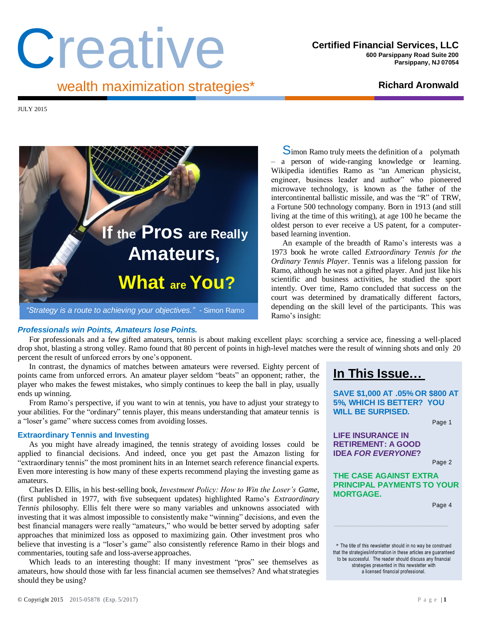# Creative

JULY 2015



*Professionals win Points, Amateurs lose Points.*

Wikipedia identifies Ramo as "an American physicist, engineer, business leader and author" who pioneered microwave technology, is known as the father of the intercontinental ballistic missile, and was the "R" of TRW, a Fortune 500 technology company. Born in 1913 (and still living at the time of this writing), at age 100 he became the oldest person to ever receive a US patent, for a computerbased learning invention. An example of the breadth of Ramo's interests was a

Simon Ramo truly meets the definition of a polymath – a person of wide-ranging knowledge or learning.

1973 book he wrote called *Extraordinary Tennis for the Ordinary Tennis Player*. Tennis was a lifelong passion for Ramo, although he was not a gifted player. And just like his scientific and business activities, he studied the sport intently. Over time, Ramo concluded that success on the court was determined by dramatically different factors, depending on the skill level of the participants. This was Ramo's insight:

For professionals and a few gifted amateurs, tennis is about making excellent plays: scorching a service ace, finessing a well-placed drop shot, blasting a strong volley. Ramo found that 80 percent of points in high-level matches were the result of winning shots and only 20 percent the result of unforced errors by one's opponent.

In contrast, the dynamics of matches between amateurs were reversed. Eighty percent of points came from unforced errors. An amateur player seldom "beats" an opponent; rather, the player who makes the fewest mistakes, who simply continues to keep the ball in play, usually ends up winning.

From Ramo's perspective, if you want to win at tennis, you have to adjust your strategy to your abilities. For the "ordinary" tennis player, this means understanding that amateur tennis is a "loser's game" where success comes from avoiding losses.

## **Extraordinary Tennis and Investing**

As you might have already imagined, the tennis strategy of avoiding losses could be applied to financial decisions. And indeed, once you get past the Amazon listing for "extraordinary tennis" the most prominent hits in an Internet search reference financial experts. Even more interesting is how many of these experts recommend playing the investing game as amateurs.

Charles D. Ellis, in his best-selling book, *Investment Policy: How to Win the Loser's Game*, (first published in 1977, with five subsequent updates) highlighted Ramo's *Extraordinary Tennis* philosophy. Ellis felt there were so many variables and unknowns associated with investing that it was almost impossible to consistently make "winning" decisions, and even the best financial managers were really "amateurs," who would be better served by adopting safer approaches that minimized loss as opposed to maximizing gain. Other investment pros who believe that investing is a "loser's game" also consistently reference Ramo in their blogs and commentaries, touting safe and loss-averse approaches.

Which leads to an interesting thought: If many investment "pros" see themselves as amateurs, how should those with far less financial acumen see themselves? And whatstrategies should they be using?

# **In This Issue…**

**SAVE \$1,000 AT .05% OR \$800 AT 5%, WHICH IS BETTER? YOU WILL BE SURPISED.**

Page 1

**LIFE INSURANCE IN RETIREMENT: A GOOD IDEA** *FOR EVERYONE***?**

Page 2

**THE CASE AGAINST EXTRA PRINCIPAL PAYMENTS TO YOUR MORTGAGE.**

Page 4

\* The title of this newsletter should in no way be construed that the strategies/information in these articles are guaranteed to be successful. The reader should discuss any financial strategies presented in this newsletter with a licensed financial professional.

**\_\_\_\_\_\_\_\_\_\_\_\_\_\_\_\_\_\_\_\_\_\_\_\_\_\_\_\_\_\_\_\_\_\_\_\_\_\_\_\_\_\_\_\_\_\_\_\_\_\_\_\_\_\_\_\_\_\_\_\_\_\_\_\_\_\_\_\_\_\_\_\_\_\_\_\_\_\_\_\_\_\_\_\_\_\_\_\_\_\_\_\_\_\_\_\_\_\_\_\_\_\_\_\_\_\_\_\_\_\_\_\_\_\_\_\_\_\_\_\_\_\_\_\_\_\_\_\_\_\_\_\_\_\_\_\_\_\_\_\_\_\_\_\_\_\_\_\_\_\_\_\_\_\_\_\_\_\_\_\_\_\_\_\_\_\_\_\_\_\_\_\_\_\_\_\_\_\_\_\_**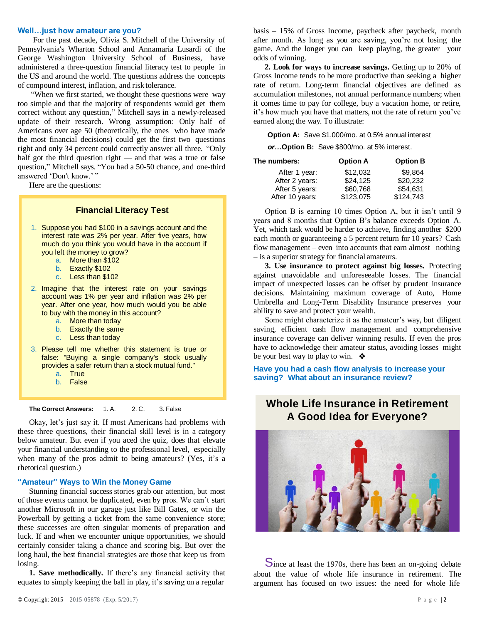#### **Well…just how amateur are you?**

For the past decade, Olivia S. Mitchell of the University of Pennsylvania's Wharton School and Annamaria Lusardi of the George Washington University School of Business, have administered a three-question financial literacy test to people in the US and around the world. The questions address the concepts of compound interest, inflation, and risk tolerance.

"When we first started, we thought these questions were way too simple and that the majority of respondents would get them correct without any question," Mitchell says in a newly-released update of their research. Wrong assumption: Only half of Americans over age 50 (theoretically, the ones who have made the most financial decisions) could get the first two questions right and only 34 percent could correctly answer all three. "Only half got the third question right — and that was a true or false question," Mitchell says. "You had a 50-50 chance, and one-third answered 'Don't know.' "

Here are the questions:

## **Financial Literacy Test**

- 1. Suppose you had \$100 in a savings account and the interest rate was 2% per year. After five years, how much do you think you would have in the account if you left the money to grow?
	- a. More than \$102
	- b. Exactly \$102
	- c. Less than \$102
- 2. Imagine that the interest rate on your savings account was 1% per year and inflation was 2% per year. After one year, how much would you be able to buy with the money in this account?
	- a. More than today
	- b. Exactly the same
	- c. Less than today
- 3. Please tell me whether this statement is true or false: "Buying a single company's stock usually provides a safer return than a stock mutual fund."
	- a. True
	- b. False

**The Correct Answers:** 1. A. 2. C. 3. False

Okay, let's just say it. If most Americans had problems with these three questions, their financial skill level is in a category below amateur. But even if you aced the quiz, does that elevate your financial understanding to the professional level, especially when many of the pros admit to being amateurs? (Yes, it's a rhetorical question.)

## **"Amateur" Ways to Win the Money Game**

Stunning financial success stories grab our attention, but most of those events cannot be duplicated, even by pros. We can't start another Microsoft in our garage just like Bill Gates, or win the Powerball by getting a ticket from the same convenience store; these successes are often singular moments of preparation and luck. If and when we encounter unique opportunities, we should certainly consider taking a chance and scoring big. But over the long haul, the best financial strategies are those that keep us from losing.

**1. Save methodically.** If there's any financial activity that equates to simply keeping the ball in play, it's saving on a regular

basis – 15% of Gross Income, paycheck after paycheck, month after month. As long as you are saving, you're not losing the game. And the longer you can keep playing, the greater your odds of winning.

**2. Look for ways to increase savings.** Getting up to 20% of Gross Income tends to be more productive than seeking a higher rate of return. Long-term financial objectives are defined as accumulation milestones, not annual performance numbers; when it comes time to pay for college, buy a vacation home, or retire, it's how much you have that matters, not the rate of return you've earned along the way. To illustrate:

**Option A:** Save \$1,000/mo. at 0.5% annual interest

*or…***Option B:** Save \$800/mo. at 5% interest.

| The numbers:    | <b>Option A</b> | <b>Option B</b> |
|-----------------|-----------------|-----------------|
| After 1 year:   | \$12,032        | \$9.864         |
| After 2 years:  | \$24.125        | \$20,232        |
| After 5 years:  | \$60,768        | \$54.631        |
| After 10 years: | \$123,075       | \$124,743       |

Option B is earning 10 times Option A, but it isn't until 9 years and 8 months that Option B's balance exceeds Option A. Yet, which task would be harder to achieve, finding another \$200 each month or guaranteeing a 5 percent return for 10 years? Cash flow management – even into accounts that earn almost nothing – is a superior strategy for financial amateurs.

**3. Use insurance to protect against big losses.** Protecting against unavoidable and unforeseeable losses. The financial impact of unexpected losses can be offset by prudent insurance decisions. Maintaining maximum coverage of Auto, Home Umbrella and Long-Term Disability Insurance preserves your ability to save and protect your wealth.

Some might characterize it as the amateur's way, but diligent saving, efficient cash flow management and comprehensive insurance coverage can deliver winning results. If even the pros have to acknowledge their amateur status, avoiding losses might be your best way to play to win.  $\triangleleft$ 

**Have you had a cash flow analysis to increase your saving? What about an insurance review?**

## **Whole Life Insurance in Retirement A Good Idea for Everyone?**



Since at least the 1970s, there has been an on-going debate about the value of whole life insurance in retirement. The argument has focused on two issues: the need for whole life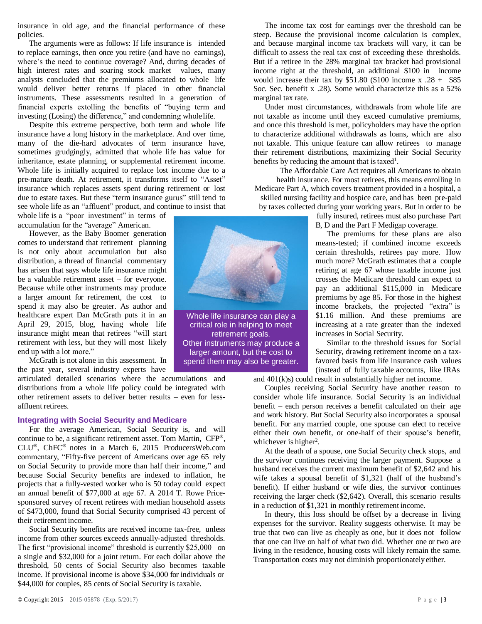insurance in old age, and the financial performance of these policies.

The arguments were as follows: If life insurance is intended to replace earnings, then once you retire (and have no earnings), where's the need to continue coverage? And, during decades of high interest rates and soaring stock market values, many analysts concluded that the premiums allocated to whole life would deliver better returns if placed in other financial instruments. These assessments resulted in a generation of financial experts extolling the benefits of "buying term and investing (Losing) the difference," and condemning wholelife.

Despite this extreme perspective, both term and whole life insurance have a long history in the marketplace. And over time, many of the die-hard advocates of term insurance have, sometimes grudgingly, admitted that whole life has value for inheritance, estate planning, or supplemental retirement income. Whole life is initially acquired to replace lost income due to a pre-mature death. At retirement, it transforms itself to "Asset" insurance which replaces assets spent during retirement or lost due to estate taxes. But these "term insurance gurus" still tend to see whole life as an "affluent" product, and continue to insist that

whole life is a "poor investment" in terms of accumulation for the "average" American.

However, as the Baby Boomer generation comes to understand that retirement planning is not only about accumulation but also distribution, a thread of financial commentary has arisen that says whole life insurance might be a valuable retirement asset – for everyone. Because while other instruments may produce a larger amount for retirement, the cost to spend it may also be greater. As author and healthcare expert Dan McGrath puts it in an April 29, 2015, blog, having whole life insurance might mean that retirees "will start retirement with less, but they will most likely end up with a lot more."

McGrath is not alone in this assessment. In the past year, several industry experts have

articulated detailed scenarios where the accumulations and distributions from a whole life policy could be integrated with other retirement assets to deliver better results – even for lessaffluent retirees.

## **Integrating with Social Security and Medicare**

For the average American, Social Security is, and will continue to be, a significant retirement asset. Tom Martin, CFP®, CLU®, ChFC® notes in a March 6, 2015 ProducersWeb.com commentary, "Fifty-five percent of Americans over age 65 rely on Social Security to provide more than half their income," and because Social Security benefits are indexed to inflation, he projects that a fully-vested worker who is 50 today could expect an annual benefit of \$77,000 at age 67. A 2014 T. Rowe Pricesponsored survey of recent retirees with median household assets of \$473,000, found that Social Security comprised 43 percent of their retirement income.

Social Security benefits are received income tax-free, unless income from other sources exceeds annually-adjusted thresholds. The first "provisional income" threshold is currently \$25,000 on a single and \$32,000 for a joint return. For each dollar above the threshold, 50 cents of Social Security also becomes taxable income. If provisional income is above \$34,000 for individuals or \$44,000 for couples, 85 cents of Social Security is taxable.



critical role in helping to meet retirement goals. Other instruments may produce a larger amount, but the cost to spend them may also be greater.

The income tax cost for earnings over the threshold can be steep. Because the provisional income calculation is complex, and because marginal income tax brackets will vary, it can be difficult to assess the real tax cost of exceeding these thresholds. But if a retiree in the 28% marginal tax bracket had provisional income right at the threshold, an additional \$100 in income would increase their tax by  $$51.80$  (\$100 income x .28 + \$85 Soc. Sec. benefit x .28). Some would characterize this as a 52% marginal tax rate.

Under most circumstances, withdrawals from whole life are not taxable as income until they exceed cumulative premiums, and once this threshold is met, policyholders may have the option to characterize additional withdrawals as loans, which are also not taxable. This unique feature can allow retirees to manage their retirement distributions, maximizing their Social Security benefits by reducing the amount that is taxed<sup>1</sup>.

The Affordable Care Act requires all Americans to obtain health insurance. For most retirees, this means enrolling in Medicare Part A, which covers treatment provided in a hospital, a skilled nursing facility and hospice care, and has been pre-paid by taxes collected during your working years. But in order to be

fully insured, retirees must also purchase Part B, D and the Part F Medigap coverage.

The premiums for these plans are also means-tested; if combined income exceeds certain thresholds, retirees pay more. How much more? McGrath estimates that a couple retiring at age 67 whose taxable income just crosses the Medicare threshold can expect to pay an additional \$115,000 in Medicare premiums by age 85. For those in the highest income brackets, the projected "extra" is \$1.16 million. And these premiums are increasing at a rate greater than the indexed increases in Social Security.

Similar to the threshold issues for Social Security, drawing retirement income on a taxfavored basis from life insurance cash values (instead of fully taxable accounts, like IRAs

and 401(k)s) could result in substantially higher net income.

Couples receiving Social Security have another reason to consider whole life insurance. Social Security is an individual benefit – each person receives a benefit calculated on their age and work history. But Social Security also incorporates a spousal benefit. For any married couple, one spouse can elect to receive either their own benefit, or one-half of their spouse's benefit, whichever is higher<sup>2</sup>.

At the death of a spouse, one Social Security check stops, and the survivor continues receiving the larger payment. Suppose a husband receives the current maximum benefit of \$2,642 and his wife takes a spousal benefit of \$1,321 (half of the husband's benefit). If either husband or wife dies, the survivor continues receiving the larger check (\$2,642). Overall, this scenario results in a reduction of \$1,321 in monthly retirement income.

In theory, this loss should be offset by a decrease in living expenses for the survivor. Reality suggests otherwise. It may be true that two can live as cheaply as one, but it does not follow that one can live on half of what two did. Whether one or two are living in the residence, housing costs will likely remain the same. Transportation costs may not diminish proportionatelyeither.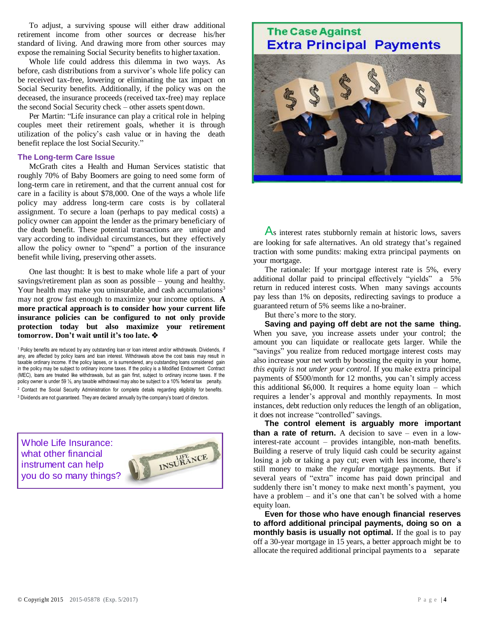To adjust, a surviving spouse will either draw additional retirement income from other sources or decrease his/her standard of living. And drawing more from other sources may expose the remaining Social Security benefits to higher taxation.

Whole life could address this dilemma in two ways. As before, cash distributions from a survivor's whole life policy can be received tax-free, lowering or eliminating the tax impact on Social Security benefits. Additionally, if the policy was on the deceased, the insurance proceeds (received tax-free) may replace the second Social Security check – other assets spent down.

Per Martin: "Life insurance can play a critical role in helping couples meet their retirement goals, whether it is through utilization of the policy's cash value or in having the death benefit replace the lost Social Security."

## **The Long-term Care Issue**

McGrath cites a Health and Human Services statistic that roughly 70% of Baby Boomers are going to need some form of long-term care in retirement, and that the current annual cost for care in a facility is about \$78,000. One of the ways a whole life policy may address long-term care costs is by collateral assignment. To secure a loan (perhaps to pay medical costs) a policy owner can appoint the lender as the primary beneficiary of the death benefit. These potential transactions are unique and vary according to individual circumstances, but they effectively allow the policy owner to "spend" a portion of the insurance benefit while living, preserving other assets.

One last thought: It is best to make whole life a part of your savings/retirement plan as soon as possible – young and healthy. Your health may make you uninsurable, and cash accumulations<sup>3</sup> may not grow fast enough to maximize your income options. **A more practical approach is to consider how your current life insurance policies can be configured to not only provide protection today but also maximize your retirement tomorrow. Don't wait until it's too late.**

<sup>1</sup> Policy benefits are reduced by any outstanding loan or loan interest and/or withdrawals. Dividends, if any, are affected by policy loans and loan interest. Withdrawals above the cost basis may result in taxable ordinary income. If the policy lapses, or is surrendered, any outstanding loans considered gain in the policy may be subject to ordinary income taxes. If the policy is a Modified Endowment Contract (MEC), loans are treated like withdrawals, but as gain first, subject to ordinary income taxes. If the policy owner is under 59 ½, any taxable withdrawal may also be subject to a 10% federal tax penalty. <sup>2</sup> Contact the Social Security Administration for complete details regarding eligibility for benefits. <sup>3</sup> Dividends are not guaranteed. They are declared annually by the company's board of directors.

Whole Life Insurance: what other financial instrument can help you do so many things?



## **The Case Against Extra Principal Payments**



As interest rates stubbornly remain at historic lows, savers are looking for safe alternatives. An old strategy that's regained traction with some pundits: making extra principal payments on your mortgage.

The rationale: If your mortgage interest rate is 5%, every additional dollar paid to principal effectively "yields" a 5% return in reduced interest costs. When many savings accounts pay less than 1% on deposits, redirecting savings to produce a guaranteed return of 5% seems like a no-brainer.

But there's more to the story.

**Saving and paying off debt are not the same thing.** When you save, you increase assets under your control; the amount you can liquidate or reallocate gets larger. While the "savings" you realize from reduced mortgage interest costs may also increase your net worth by boosting the equity in your home, *this equity is not under your control*. If you make extra principal payments of \$500/month for 12 months, you can't simply access this additional \$6,000. It requires a home equity loan – which requires a lender's approval and monthly repayments. In most instances, debt reduction only reduces the length of an obligation, it does not increase "controlled" savings.

**The control element is arguably more important than a rate of return.** A decision to save – even in a lowinterest-rate account – provides intangible, non-math benefits. Building a reserve of truly liquid cash could be security against losing a job or taking a pay cut; even with less income, there's still money to make the *regular* mortgage payments. But if several years of "extra" income has paid down principal and suddenly there isn't money to make next month's payment, you have a problem – and it's one that can't be solved with a home equity loan.

**Even for those who have enough financial reserves to afford additional principal payments, doing so on a monthly basis is usually not optimal.** If the goal is to pay off a 30-year mortgage in 15 years, a better approach might be to allocate the required additional principal payments to a separate